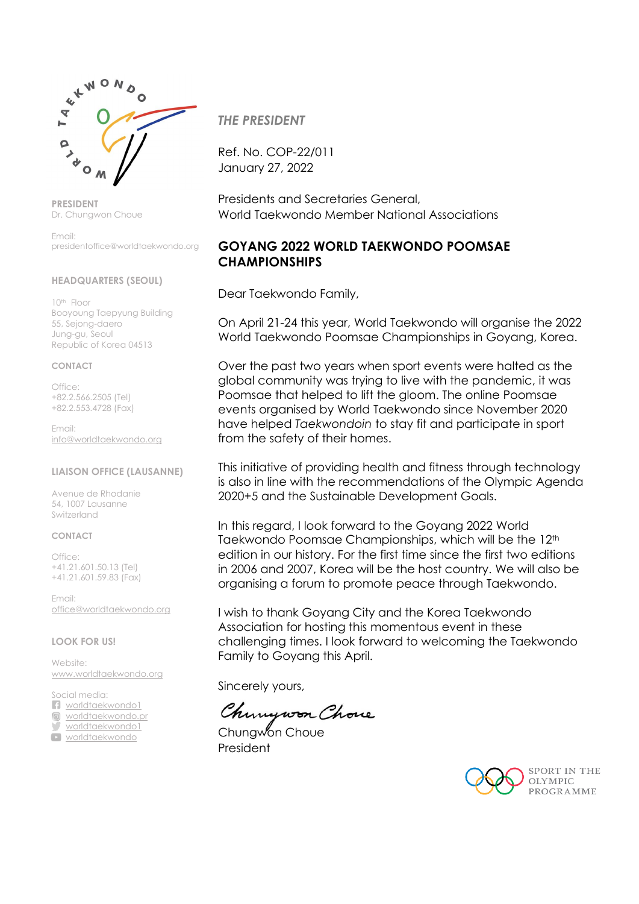

**PRESIDENT** Dr. Chungwon Choue

Email: presidentoffice@worldtaekwondo.org

#### **HEADQUARTERS (SEOUL)**

10th Floor Booyoung Taepyung Building 55, Sejong-daero Jung-gu, Seoul Republic of Korea 04513

#### **CONTACT**

Office: +82.2.566.2505 (Tel) +82.2.553.4728 (Fax)

Email: [info@worldtaekwondo.org](mailto:info@worldtaekwondo.org)

#### **LIAISON OFFICE (LAUSANNE)**

Avenue de Rhodanie 54, 1007 Lausanne Switzerland

#### **CONTACT**

Office: +41.21.601.50.13 (Tel) +41.21.601.59.83 (Fax)

Email: [office@worldtaekwondo.org](mailto:office@worldtaekwondo.org)

#### **LOOK FOR US!**

Website: [www.worldtaekwondo.org](http://www.worldtaekwondo.org/)

Social media: **n** [worldtaekwondo1](https://www.facebook.com/WorldTaekwondo1) o [worldtaekwondo.pr](https://www.instagram.com/worldtaekwondo.pr/)

[worldtaekwondo1](https://twitter.com/WorldTaekwondo1)

[worldtaekwondo](https://www.youtube.com/user/worldtaekwondo)

*THE PRESIDENT*

Ref. No. COP-22/011 January 27, 2022

Presidents and Secretaries General, World Taekwondo Member National Associations

## **GOYANG 2022 WORLD TAEKWONDO POOMSAE CHAMPIONSHIPS**

Dear Taekwondo Family,

On April 21-24 this year, World Taekwondo will organise the 2022 World Taekwondo Poomsae Championships in Goyang, Korea.

Over the past two years when sport events were halted as the global community was trying to live with the pandemic, it was Poomsae that helped to lift the gloom. The online Poomsae events organised by World Taekwondo since November 2020 have helped *Taekwondoin* to stay fit and participate in sport from the safety of their homes.

This initiative of providing health and fitness through technology is also in line with the recommendations of the Olympic Agenda 2020+5 and the Sustainable Development Goals.

In this regard, I look forward to the Goyang 2022 World Taekwondo Poomsae Championships, which will be the 12th edition in our history. For the first time since the first two editions in 2006 and 2007, Korea will be the host country. We will also be organising a forum to promote peace through Taekwondo.

I wish to thank Goyang City and the Korea Taekwondo Association for hosting this momentous event in these challenging times. I look forward to welcoming the Taekwondo Family to Goyang this April.

Sincerely yours,

Chinywon Chove

Chungwon Choue President

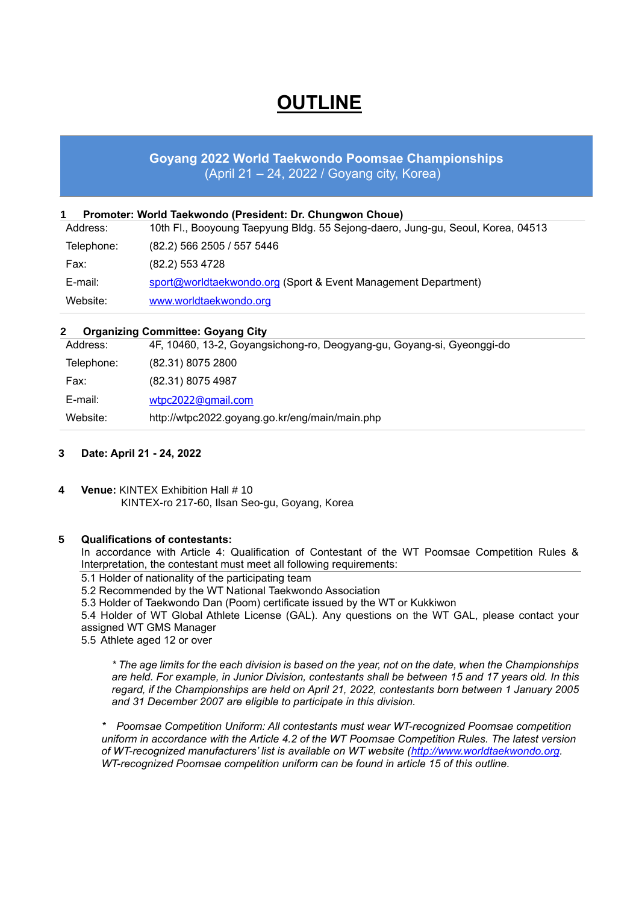# **OUTLINE**

## **Goyang 2022 World Taekwondo Poomsae Championships** (April 21 – 24, 2022 / Goyang city, Korea)

| Address:   | 10th Fl., Booyoung Taepyung Bldg. 55 Sejong-daero, Jung-gu, Seoul, Korea, 04513 |
|------------|---------------------------------------------------------------------------------|
| Telephone: | (82.2) 566 2505 / 557 5446                                                      |
| Fax:       | (82.2) 553 4728                                                                 |
| E-mail:    | sport@worldtaekwondo.org (Sport & Event Management Department)                  |
| Website:   | www.worldtaekwondo.org                                                          |

## **2 Organizing Committee: Goyang City**

| Address:   | 4F, 10460, 13-2, Goyangsichong-ro, Deogyang-gu, Goyang-si, Gyeonggi-do |
|------------|------------------------------------------------------------------------|
| Telephone: | (82.31) 8075 2800                                                      |
| Fax:       | (82.31) 8075 4987                                                      |
| E-mail:    | wtpc2022@gmail.com                                                     |
| Website:   | http://wtpc2022.goyang.go.kr/eng/main/main.php                         |

## **3 Date: April 21 - 24, 2022**

**4 Venue:** KINTEX Exhibition Hall # 10 KINTEX-ro 217-60, Ilsan Seo-gu, Goyang, Korea

## **5 Qualifications of contestants:**

In accordance with Article 4: Qualification of Contestant of the WT Poomsae Competition Rules & Interpretation, the contestant must meet all following requirements:

5.1 Holder of nationality of the participating team

5.2 Recommended by the WT National Taekwondo Association

5.3 Holder of Taekwondo Dan (Poom) certificate issued by the WT or Kukkiwon

5.4 Holder of WT Global Athlete License (GAL). Any questions on the WT GAL, please contact your assigned WT GMS Manager

5.5 Athlete aged 12 or over

*\* The age limits for the each division is based on the year, not on the date, when the Championships are held. For example, in Junior Division, contestants shall be between 15 and 17 years old. In this regard, if the Championships are held on April 21, 2022, contestants born between 1 January 2005 and 31 December 2007 are eligible to participate in this division.* 

*\* Poomsae Competition Uniform: All contestants must wear WT-recognized Poomsae competition uniform in accordance with the Article 4.2 of the WT Poomsae Competition Rules. The latest version of WT-recognized manufacturers' list is available on WT website [\(http://www.worldtaekwondo.org.](http://www.worldtaekwondo.org/) WT-recognized Poomsae competition uniform can be found in article 15 of this outline.*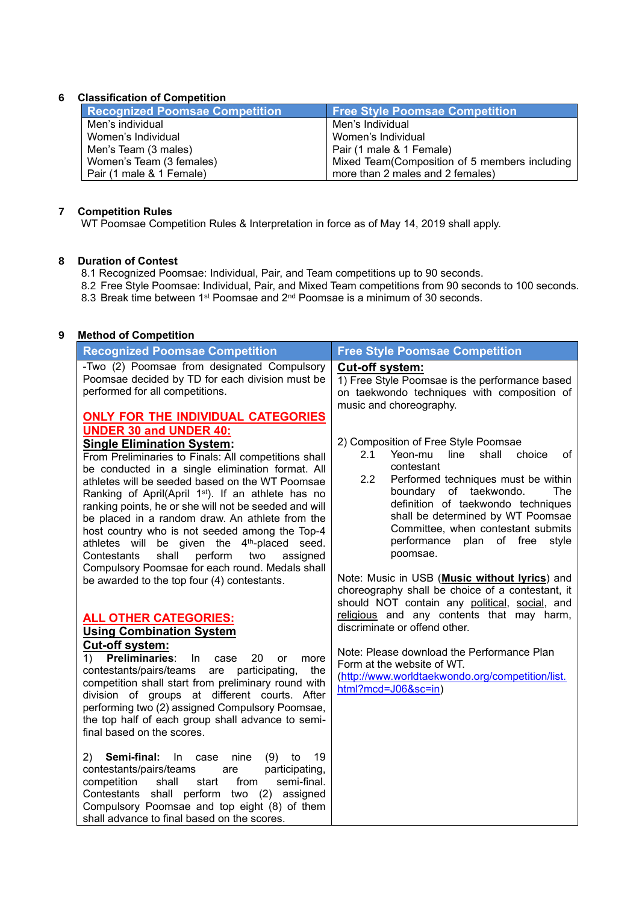## **6 Classification of Competition**

| <b>Recognized Poomsae Competition</b> | <b>Free Style Poomsae Competition</b>         |  |  |  |  |
|---------------------------------------|-----------------------------------------------|--|--|--|--|
| Men's individual                      | Men's Individual                              |  |  |  |  |
| Women's Individual                    | Women's Individual                            |  |  |  |  |
| Men's Team (3 males)                  | Pair (1 male & 1 Female)                      |  |  |  |  |
| Women's Team (3 females)              | Mixed Team(Composition of 5 members including |  |  |  |  |
| Pair (1 male & 1 Female)              | more than 2 males and 2 females)              |  |  |  |  |

## **7 Competition Rules**

WT Poomsae Competition Rules & Interpretation in force as of May 14, 2019 shall apply.

#### **8 Duration of Contest**

- 8.1 Recognized Poomsae: Individual, Pair, and Team competitions up to 90 seconds.
- 8.2 Free Style Poomsae: Individual, Pair, and Mixed Team competitions from 90 seconds to 100 seconds. 8.3 Break time between 1<sup>st</sup> Poomsae and 2<sup>nd</sup> Poomsae is a minimum of 30 seconds.

## **9 Method of Competition**

| <b>Recognized Poomsae Competition</b>                                                                                                                                                                                                                                                                                                                                                                                                                                                                                                                                                                                                                                               | <b>Free Style Poomsae Competition</b>                                                                                                                                                                                                                                                                                                                     |
|-------------------------------------------------------------------------------------------------------------------------------------------------------------------------------------------------------------------------------------------------------------------------------------------------------------------------------------------------------------------------------------------------------------------------------------------------------------------------------------------------------------------------------------------------------------------------------------------------------------------------------------------------------------------------------------|-----------------------------------------------------------------------------------------------------------------------------------------------------------------------------------------------------------------------------------------------------------------------------------------------------------------------------------------------------------|
| -Two (2) Poomsae from designated Compulsory<br>Poomsae decided by TD for each division must be<br>performed for all competitions.                                                                                                                                                                                                                                                                                                                                                                                                                                                                                                                                                   | <b>Cut-off system:</b><br>1) Free Style Poomsae is the performance based<br>on taekwondo techniques with composition of<br>music and choreography.                                                                                                                                                                                                        |
| <b>ONLY FOR THE INDIVIDUAL CATEGORIES</b><br><b>UNDER 30 and UNDER 40:</b><br><b>Single Elimination System:</b><br>From Preliminaries to Finals: All competitions shall<br>be conducted in a single elimination format. All<br>athletes will be seeded based on the WT Poomsae<br>Ranking of April(April 1 <sup>st</sup> ). If an athlete has no<br>ranking points, he or she will not be seeded and will<br>be placed in a random draw. An athlete from the<br>host country who is not seeded among the Top-4<br>athletes will be given the 4 <sup>th</sup> -placed seed.<br>two<br>Contestants<br>shall<br>perform<br>assigned<br>Compulsory Poomsae for each round. Medals shall | 2) Composition of Free Style Poomsae<br>shall<br>2.1<br>Yeon-mu<br>line<br>choice<br>οf<br>contestant<br>2.2<br>Performed techniques must be within<br>boundary of taekwondo.<br>The<br>definition of taekwondo techniques<br>shall be determined by WT Poomsae<br>Committee, when contestant submits<br>plan of free<br>performance<br>style<br>poomsae. |
| be awarded to the top four (4) contestants.                                                                                                                                                                                                                                                                                                                                                                                                                                                                                                                                                                                                                                         | Note: Music in USB (Music without lyrics) and<br>choreography shall be choice of a contestant, it<br>should NOT contain any political, social, and                                                                                                                                                                                                        |
| <b>ALL OTHER CATEGORIES:</b><br><b>Using Combination System</b><br><b>Cut-off system:</b>                                                                                                                                                                                                                                                                                                                                                                                                                                                                                                                                                                                           | religious and any contents that may harm,<br>discriminate or offend other.                                                                                                                                                                                                                                                                                |
| Preliminaries:<br>In<br>20<br>1)<br>case<br>more<br>or<br>contestants/pairs/teams<br>participating,<br>are<br>the<br>competition shall start from preliminary round with<br>division of groups at different courts. After<br>performing two (2) assigned Compulsory Poomsae,<br>the top half of each group shall advance to semi-<br>final based on the scores.                                                                                                                                                                                                                                                                                                                     | Note: Please download the Performance Plan<br>Form at the website of WT.<br>(http://www.worldtaekwondo.org/competition/list.<br>html?mcd=J06≻=in)                                                                                                                                                                                                         |
| Semi-final:<br>2)<br>(9)<br>19<br>$\ln$<br>nine<br>to<br>case<br>contestants/pairs/teams<br>participating,<br>are<br>competition<br>semi-final.<br>shall<br>start<br>from<br>Contestants shall perform two (2) assigned<br>Compulsory Poomsae and top eight (8) of them<br>shall advance to final based on the scores.                                                                                                                                                                                                                                                                                                                                                              |                                                                                                                                                                                                                                                                                                                                                           |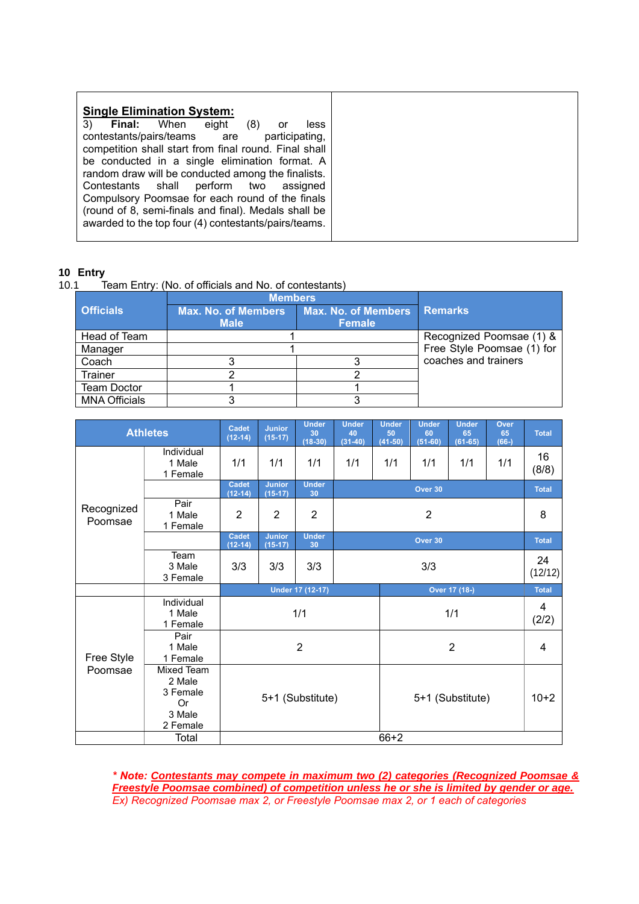| <b>Single Elimination System:</b><br>3)<br><b>Final:</b> When<br>eight<br>(8)<br>less<br>or<br>contestants/pairs/teams are<br>participating,<br>competition shall start from final round. Final shall<br>be conducted in a single elimination format. A<br>random draw will be conducted among the finalists. |
|---------------------------------------------------------------------------------------------------------------------------------------------------------------------------------------------------------------------------------------------------------------------------------------------------------------|
|                                                                                                                                                                                                                                                                                                               |
| Contestants shall perform two assigned<br>Compulsory Poomsae for each round of the finals<br>(round of 8, semi-finals and final). Medals shall be<br>awarded to the top four (4) contestants/pairs/teams.                                                                                                     |

## **10 Entry**

10.1 Team Entry: (No. of officials and No. of contestants)

|                      | <b>Members</b>                            |                                             |                            |
|----------------------|-------------------------------------------|---------------------------------------------|----------------------------|
| <b>Officials</b>     | <b>Max. No. of Members</b><br><b>Male</b> | <b>Max. No. of Members</b><br><b>Female</b> | <b>Remarks</b>             |
| Head of Team         |                                           |                                             | Recognized Poomsae (1) &   |
| Manager              |                                           |                                             | Free Style Poomsae (1) for |
| Coach                |                                           |                                             | coaches and trainers       |
| <b>Trainer</b>       |                                           |                                             |                            |
| <b>Team Doctor</b>   |                                           |                                             |                            |
| <b>MNA Officials</b> |                                           |                                             |                            |

| <b>Athletes</b>       |                                                              | <b>Cadet</b><br>$(12-14)$ | <b>Under</b><br><b>Junior</b><br>$(15-17)$<br>$(18-30)$ |                         | <b>Under</b><br>40<br>$(31-40)$ | <b>Under</b><br>50<br>$(41-50)$ | <b>Under</b><br>60<br>$(51 - 60)$ |              | Over<br>65<br>$(66-)$ | <b>Total</b> |  |
|-----------------------|--------------------------------------------------------------|---------------------------|---------------------------------------------------------|-------------------------|---------------------------------|---------------------------------|-----------------------------------|--------------|-----------------------|--------------|--|
|                       | Individual<br>1 Male<br>1 Female                             | 1/1                       | 1/1                                                     | 1/1                     | 1/1                             | 1/1<br>1/1<br>1/1<br>1/1        |                                   |              |                       | 16<br>(8/8)  |  |
|                       |                                                              | <b>Cadet</b><br>$(12-14)$ | <b>Junior</b><br>$(15-17)$                              | <b>Under</b><br>30      |                                 |                                 |                                   | <b>Total</b> |                       |              |  |
| Recognized<br>Poomsae | Pair<br>1 Male<br>1 Female                                   | $\overline{2}$            | $\overline{2}$                                          | $\overline{2}$          |                                 | 8                               |                                   |              |                       |              |  |
|                       |                                                              | <b>Cadet</b><br>$(12-14)$ | <b>Junior</b><br>$(15-17)$                              | <b>Under</b><br>30      |                                 | <b>Total</b>                    |                                   |              |                       |              |  |
|                       | Team<br>3 Male<br>3 Female                                   | 3/3                       | 3/3                                                     | 3/3                     |                                 |                                 | 24<br>(12/12)                     |              |                       |              |  |
|                       |                                                              |                           |                                                         | <b>Under 17 (12-17)</b> | Over 17 (18-)                   |                                 |                                   |              |                       | <b>Total</b> |  |
|                       | Individual<br>1 Male<br>1 Female                             |                           |                                                         | 1/1                     |                                 |                                 | 1/1                               |              |                       |              |  |
| Free Style            | Pair<br>1 Male<br>1 Female                                   |                           |                                                         | 2                       |                                 |                                 | $\overline{2}$                    |              |                       |              |  |
| Poomsae               | Mixed Team<br>2 Male<br>3 Female<br>Or<br>3 Male<br>2 Female |                           |                                                         | 5+1 (Substitute)        |                                 | 5+1 (Substitute)                |                                   |              |                       | $10+2$       |  |
|                       | $66 + 2$<br>Total                                            |                           |                                                         |                         |                                 |                                 |                                   |              |                       |              |  |

*\* Note: Contestants may compete in maximum two (2) categories (Recognized Poomsae & Freestyle Poomsae combined) of competition unless he or she is limited by gender or age. Ex) Recognized Poomsae max 2, or Freestyle Poomsae max 2, or 1 each of categories*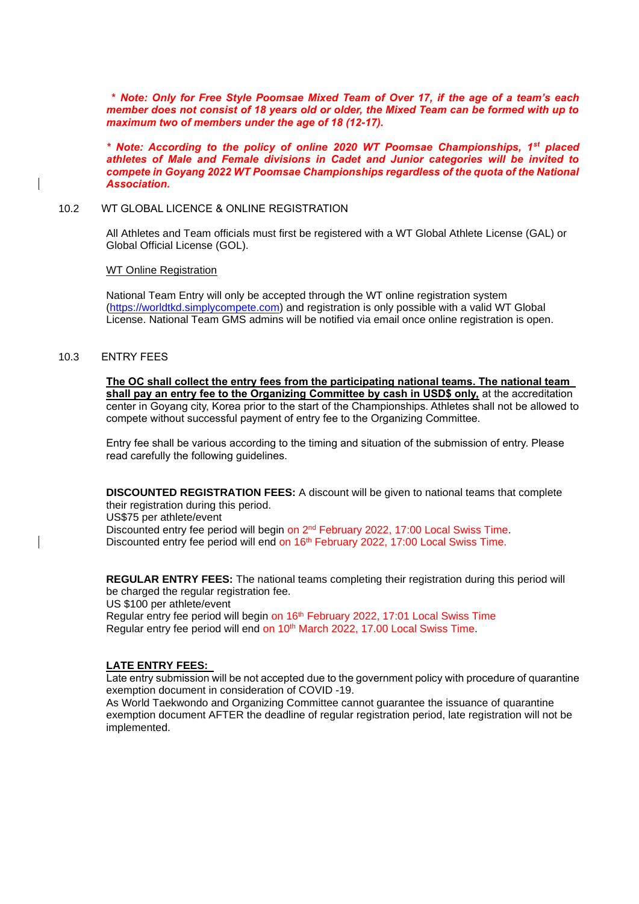**\*** *Note: Only for Free Style Poomsae Mixed Team of Over 17, if the age of a team's each member does not consist of 18 years old or older, the Mixed Team can be formed with up to maximum two of members under the age of 18 (12-17).*

*\* Note: According to the policy of online 2020 WT Poomsae Championships, 1st placed athletes of Male and Female divisions in Cadet and Junior categories will be invited to compete in Goyang 2022 WT Poomsae Championships regardless of the quota of the National Association.*

#### 10.2 WT GLOBAL LICENCE & ONLINE REGISTRATION

All Athletes and Team officials must first be registered with a WT Global Athlete License (GAL) or Global Official License (GOL).

#### WT Online Registration

National Team Entry will only be accepted through the WT online registration system [\(https://worldtkd.simplycompete.com\)](https://worldtkd.simplycompete.com/) and registration is only possible with a valid WT Global License. National Team GMS admins will be notified via email once online registration is open.

#### 10.3 ENTRY FEES

**The OC shall collect the entry fees from the participating national teams. The national team shall pay an entry fee to the Organizing Committee by cash in USD\$ only,** at the accreditation center in Goyang city, Korea prior to the start of the Championships. Athletes shall not be allowed to compete without successful payment of entry fee to the Organizing Committee.

Entry fee shall be various according to the timing and situation of the submission of entry. Please read carefully the following guidelines.

**DISCOUNTED REGISTRATION FEES:** A discount will be given to national teams that complete their registration during this period.

US\$75 per athlete/event Discounted entry fee period will begin on 2<sup>nd</sup> February 2022, 17:00 Local Swiss Time. Discounted entry fee period will end on 16<sup>th</sup> February 2022, 17:00 Local Swiss Time.

**REGULAR ENTRY FEES:** The national teams completing their registration during this period will be charged the regular registration fee.

US \$100 per athlete/event

Regular entry fee period will begin on 16<sup>th</sup> February 2022, 17:01 Local Swiss Time Regular entry fee period will end on 10<sup>th</sup> March 2022, 17.00 Local Swiss Time.

#### **LATE ENTRY FEES:**

Late entry submission will be not accepted due to the government policy with procedure of quarantine exemption document in consideration of COVID -19.

As World Taekwondo and Organizing Committee cannot guarantee the issuance of quarantine exemption document AFTER the deadline of regular registration period, late registration will not be implemented.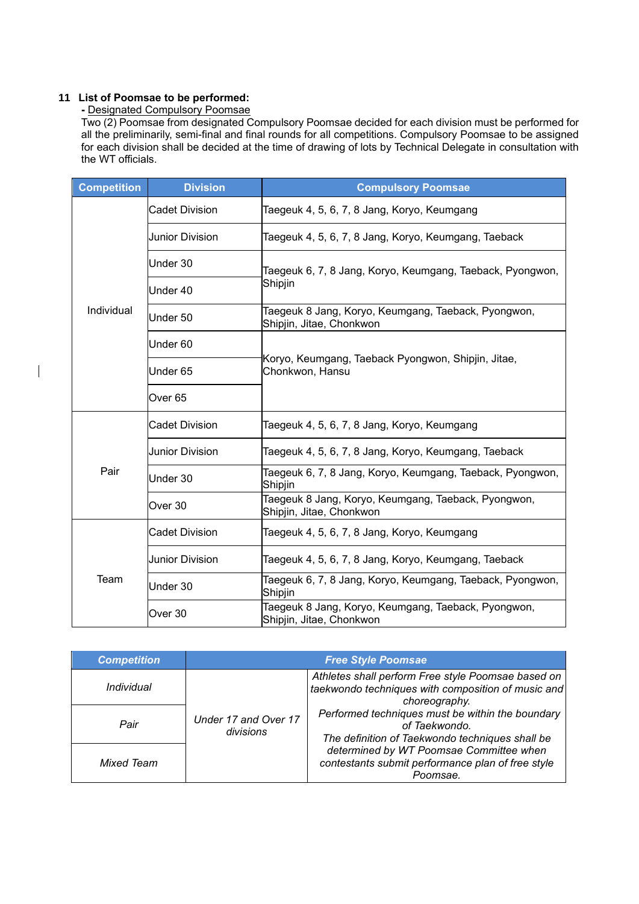#### **11 List of Poomsae to be performed:**

 $\overline{\phantom{a}}$ 

#### **-** Designated Compulsory Poomsae

Two (2) Poomsae from designated Compulsory Poomsae decided for each division must be performed for all the preliminarily, semi-final and final rounds for all competitions. Compulsory Poomsae to be assigned for each division shall be decided at the time of drawing of lots by Technical Delegate in consultation with the WT officials.

| <b>Competition</b> | <b>Division</b>       | <b>Compulsory Poomsae</b>                                                       |  |  |  |  |  |
|--------------------|-----------------------|---------------------------------------------------------------------------------|--|--|--|--|--|
|                    | <b>Cadet Division</b> | Taegeuk 4, 5, 6, 7, 8 Jang, Koryo, Keumgang                                     |  |  |  |  |  |
| Individual         | Junior Division       | Taegeuk 4, 5, 6, 7, 8 Jang, Koryo, Keumgang, Taeback                            |  |  |  |  |  |
|                    | Under 30              | Taegeuk 6, 7, 8 Jang, Koryo, Keumgang, Taeback, Pyongwon,                       |  |  |  |  |  |
|                    | Under 40              | Shipjin                                                                         |  |  |  |  |  |
|                    | Under 50              | Taegeuk 8 Jang, Koryo, Keumgang, Taeback, Pyongwon,<br>Shipjin, Jitae, Chonkwon |  |  |  |  |  |
|                    | Under 60              |                                                                                 |  |  |  |  |  |
|                    | Under 65              | Koryo, Keumgang, Taeback Pyongwon, Shipjin, Jitae,<br>Chonkwon, Hansu           |  |  |  |  |  |
|                    | Over <sub>65</sub>    |                                                                                 |  |  |  |  |  |
|                    | <b>Cadet Division</b> | Taegeuk 4, 5, 6, 7, 8 Jang, Koryo, Keumgang                                     |  |  |  |  |  |
|                    | Junior Division       | Taegeuk 4, 5, 6, 7, 8 Jang, Koryo, Keumgang, Taeback                            |  |  |  |  |  |
| Pair               | Under 30              | Taegeuk 6, 7, 8 Jang, Koryo, Keumgang, Taeback, Pyongwon,<br>Shipjin            |  |  |  |  |  |
|                    | Over 30               | Taegeuk 8 Jang, Koryo, Keumgang, Taeback, Pyongwon,<br>Shipjin, Jitae, Chonkwon |  |  |  |  |  |
|                    | <b>Cadet Division</b> | Taegeuk 4, 5, 6, 7, 8 Jang, Koryo, Keumgang                                     |  |  |  |  |  |
|                    | Junior Division       | Taegeuk 4, 5, 6, 7, 8 Jang, Koryo, Keumgang, Taeback                            |  |  |  |  |  |
| Team               | Under 30              | Taegeuk 6, 7, 8 Jang, Koryo, Keumgang, Taeback, Pyongwon,<br>Shipjin            |  |  |  |  |  |
|                    | Over 30               | Taegeuk 8 Jang, Koryo, Keumgang, Taeback, Pyongwon,<br>Shipjin, Jitae, Chonkwon |  |  |  |  |  |

| <b>Competition</b> | <b>Free Style Poomsae</b>         |                                                                                                                                                                                                                                                   |  |  |  |
|--------------------|-----------------------------------|---------------------------------------------------------------------------------------------------------------------------------------------------------------------------------------------------------------------------------------------------|--|--|--|
| Individual         |                                   | Athletes shall perform Free style Poomsae based on<br>taekwondo techniques with composition of music and<br>choreography.<br>Performed techniques must be within the boundary<br>of Taekwondo.<br>The definition of Taekwondo techniques shall be |  |  |  |
| Pair               | Under 17 and Over 17<br>divisions |                                                                                                                                                                                                                                                   |  |  |  |
| Mixed Team         |                                   | determined by WT Poomsae Committee when<br>contestants submit performance plan of free style<br>Poomsae.                                                                                                                                          |  |  |  |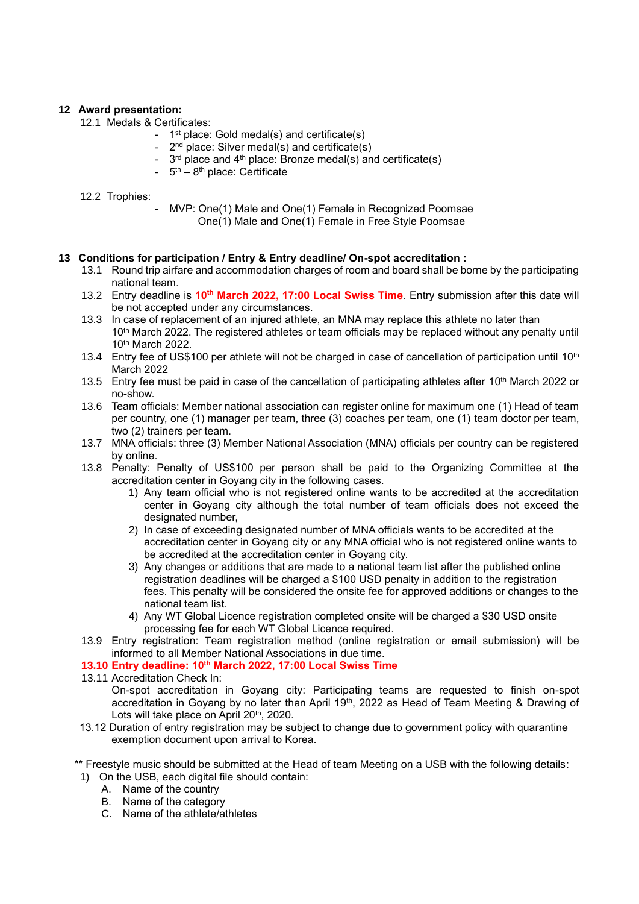## **12 Award presentation:**

- 12.1 Medals & Certificates:
	- 1<sup>st</sup> place: Gold medal(s) and certificate(s)
	- 2<sup>nd</sup> place: Silver medal(s) and certificate(s)
	- $3^{\text{rd}}$  place and 4<sup>th</sup> place: Bronze medal(s) and certificate(s)
	- 5<sup>th</sup> 8<sup>th</sup> place: Certificate

#### 12.2 Trophies:

MVP: One(1) Male and One(1) Female in Recognized Poomsae One(1) Male and One(1) Female in Free Style Poomsae

#### **13 Conditions for participation / Entry & Entry deadline/ On-spot accreditation :**

- 13.1 Round trip airfare and accommodation charges of room and board shall be borne by the participating national team.
- 13.2 Entry deadline is 10<sup>th</sup> March 2022, 17:00 Local Swiss Time. Entry submission after this date will be not accepted under any circumstances.
- 13.3 In case of replacement of an injured athlete, an MNA may replace this athlete no later than 10<sup>th</sup> March 2022. The registered athletes or team officials may be replaced without any penalty until 10 th March 2022.
- 13.4 Entry fee of US\$100 per athlete will not be charged in case of cancellation of participation until 10<sup>th</sup> March 2022
- 13.5 Entry fee must be paid in case of the cancellation of participating athletes after 10<sup>th</sup> March 2022 or no-show.
- 13.6 Team officials: Member national association can register online for maximum one (1) Head of team per country, one (1) manager per team, three (3) coaches per team, one (1) team doctor per team, two (2) trainers per team.
- 13.7 MNA officials: three (3) Member National Association (MNA) officials per country can be registered by online.
- 13.8 Penalty: Penalty of US\$100 per person shall be paid to the Organizing Committee at the accreditation center in Goyang city in the following cases.
	- 1) Any team official who is not registered online wants to be accredited at the accreditation center in Goyang city although the total number of team officials does not exceed the designated number,
	- 2) In case of exceeding designated number of MNA officials wants to be accredited at the accreditation center in Goyang city or any MNA official who is not registered online wants to be accredited at the accreditation center in Goyang city.
	- 3) Any changes or additions that are made to a national team list after the published online registration deadlines will be charged a \$100 USD penalty in addition to the registration fees. This penalty will be considered the onsite fee for approved additions or changes to the national team list.
	- 4) Any WT Global Licence registration completed onsite will be charged a \$30 USD onsite processing fee for each WT Global Licence required.
- 13.9 Entry registration: Team registration method (online registration or email submission) will be informed to all Member National Associations in due time.

#### **13.10 Entry deadline: 10 th March 2022, 17:00 Local Swiss Time**

13.11 Accreditation Check In:

On-spot accreditation in Goyang city: Participating teams are requested to finish on-spot accreditation in Goyang by no later than April 19<sup>th</sup>, 2022 as Head of Team Meeting & Drawing of Lots will take place on April 20<sup>th</sup>, 2020.

- 13.12 Duration of entry registration may be subject to change due to government policy with quarantine exemption document upon arrival to Korea.
- \*\* Freestyle music should be submitted at the Head of team Meeting on a USB with the following details:
- 1) On the USB, each digital file should contain:
	- A. Name of the country
	- B. Name of the category
	- C. Name of the athlete/athletes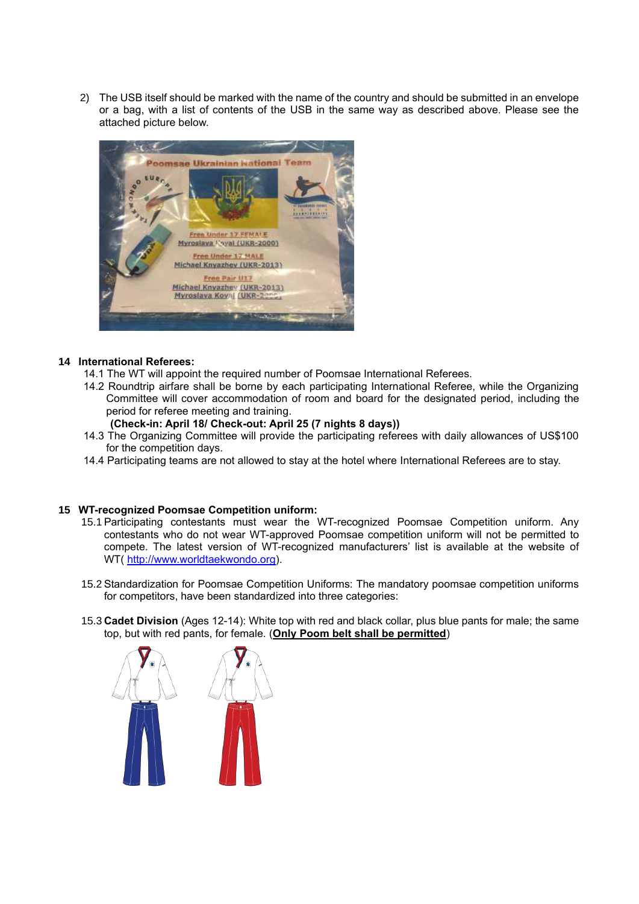2) The USB itself should be marked with the name of the country and should be submitted in an envelope or a bag, with a list of contents of the USB in the same way as described above. Please see the attached picture below.



#### **14 International Referees:**

- 14.1 The WT will appoint the required number of Poomsae International Referees.
- 14.2 Roundtrip airfare shall be borne by each participating International Referee, while the Organizing Committee will cover accommodation of room and board for the designated period, including the period for referee meeting and training.
	- **(Check-in: April 18/ Check-out: April 25 (7 nights 8 days))**
- 14.3 The Organizing Committee will provide the participating referees with daily allowances of US\$100 for the competition days.
- 14.4 Participating teams are not allowed to stay at the hotel where International Referees are to stay.

#### **15 WT-recognized Poomsae Competition uniform:**

- 15.1 Participating contestants must wear the WT-recognized Poomsae Competition uniform. Any contestants who do not wear WT-approved Poomsae competition uniform will not be permitted to compete. The latest version of WT-recognized manufacturers' list is available at the website of WT( [http://www.worldtaekwondo.org\)](http://www.worldtaekwondo.org/).
- 15.2 Standardization for Poomsae Competition Uniforms: The mandatory poomsae competition uniforms for competitors, have been standardized into three categories:
- 15.3 **Cadet Division** (Ages 12-14): White top with red and black collar, plus blue pants for male; the same top, but with red pants, for female. (**Only Poom belt shall be permitted**)

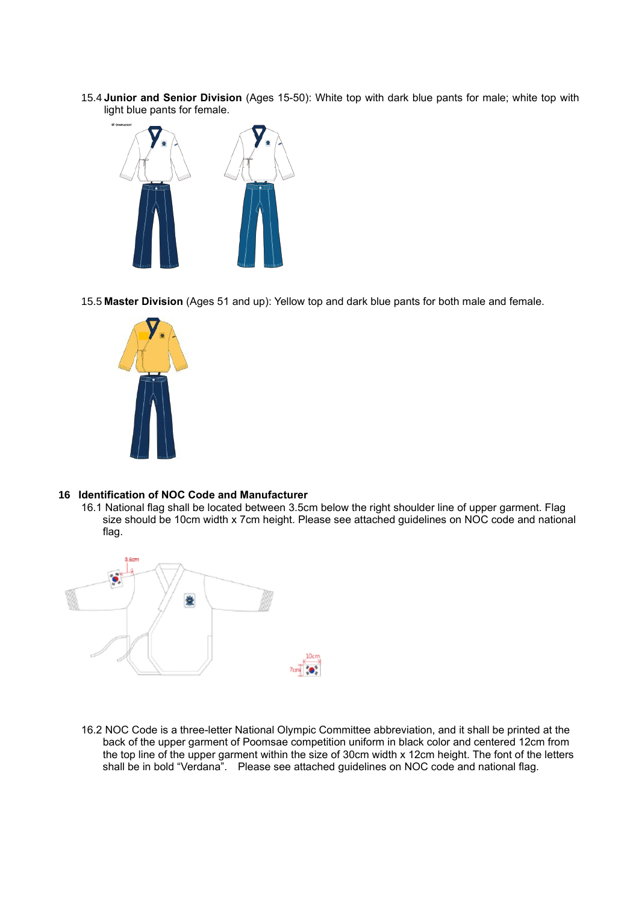15.4 **Junior and Senior Division** (Ages 15-50): White top with dark blue pants for male; white top with light blue pants for female.



15.5 **Master Division** (Ages 51 and up): Yellow top and dark blue pants for both male and female.



#### **16 Identification of NOC Code and Manufacturer**

16.1 National flag shall be located between 3.5cm below the right shoulder line of upper garment. Flag size should be 10cm width x 7cm height. Please see attached guidelines on NOC code and national flag.



16.2 NOC Code is a three-letter National Olympic Committee abbreviation, and it shall be printed at the back of the upper garment of Poomsae competition uniform in black color and centered 12cm from the top line of the upper garment within the size of 30cm width x 12cm height. The font of the letters shall be in bold "Verdana". Please see attached guidelines on NOC code and national flag.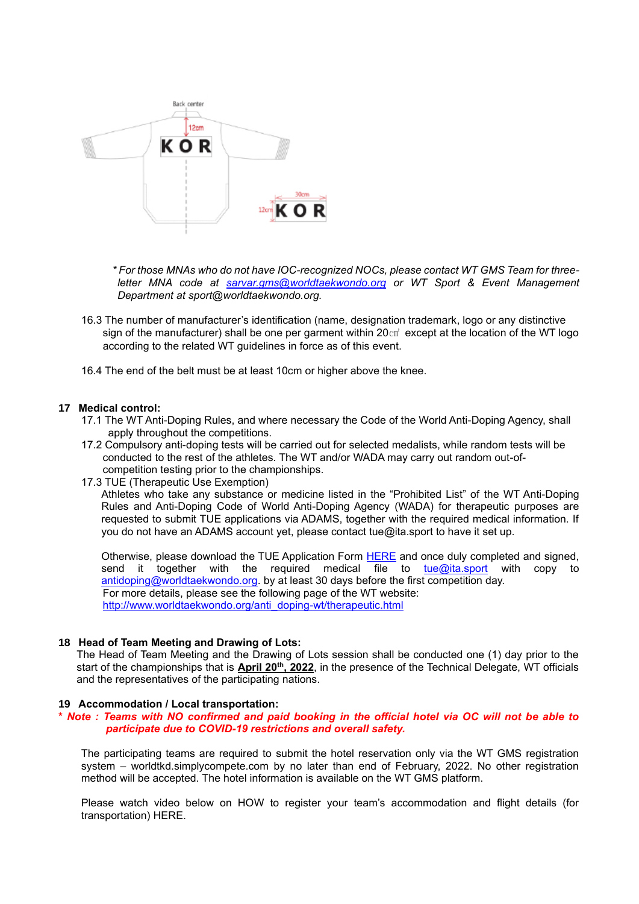

*\* For those MNAs who do not have IOC-recognized NOCs, please contact WT GMS Team for threeletter MNA code at [sarvar.gms@worldtaekwondo.org](mailto:sarvar.gms@worldtaekwondo.org) or WT Sport & Event Management Department at sport@worldtaekwondo.org.*

- 16.3 The number of manufacturer's identification (name, designation trademark, logo or any distinctive sign of the manufacturer) shall be one per garment within 20 $\text{cm}^2$  except at the location of the WT logo according to the related WT guidelines in force as of this event.
- 16.4 The end of the belt must be at least 10cm or higher above the knee.

#### **17 Medical control:**

- 17.1 The WT Anti-Doping Rules, and where necessary the Code of the World Anti-Doping Agency, shall apply throughout the competitions.
- 17.2 Compulsory anti-doping tests will be carried out for selected medalists, while random tests will be conducted to the rest of the athletes. The WT and/or WADA may carry out random out-of competition testing prior to the championships.
- 17.3 TUE (Therapeutic Use Exemption)

Athletes who take any substance or medicine listed in the "Prohibited List" of the WT Anti-Doping Rules and Anti-Doping Code of World Anti-Doping Agency (WADA) for therapeutic purposes are requested to submit TUE applications via ADAMS, together with the required medical information. If you do not have an ADAMS account yet, please contact tue@ita.sport to have it set up.

Otherwise, please download the TUE Application Form [HERE](https://ita.sport/uploads/2021/06/2021_tue_application_form.pdf) and once duly completed and signed, send it together with the required medical file to  $\frac{f}{L}$  [tue@ita.sport](mailto:tue@ita.sport) with copy to [antidoping@worldtaekwondo.org.](mailto:antidoping@worldtaekwondo.org) by at least 30 days before the first competition day. For more details, please see the following page of the WT website: [http://www.worldtaekwondo.org/anti\\_doping-wt/therapeutic.html](http://www.worldtaekwondo.org/anti_doping-wt/therapeutic.html)

#### **18 Head of Team Meeting and Drawing of Lots:**

The Head of Team Meeting and the Drawing of Lots session shall be conducted one (1) day prior to the start of the championships that is **April 20th, 2022**, in the presence of the Technical Delegate, WT officials and the representatives of the participating nations.

#### **19 Accommodation / Local transportation:**

#### **\*** *Note : Teams with NO confirmed and paid booking in the official hotel via OC will not be able to participate due to COVID-19 restrictions and overall safety.*

The participating teams are required to submit the hotel reservation only via the WT GMS registration system – worldtkd.simplycompete.com by no later than end of February, 2022. No other registration method will be accepted. The hotel information is available on the WT GMS platform.

Please watch video below on HOW to register your team's accommodation and flight details (for transportation) [HERE.](https://www.youtube.com/watch?v=etqalsOWon0&feature=youtu.be)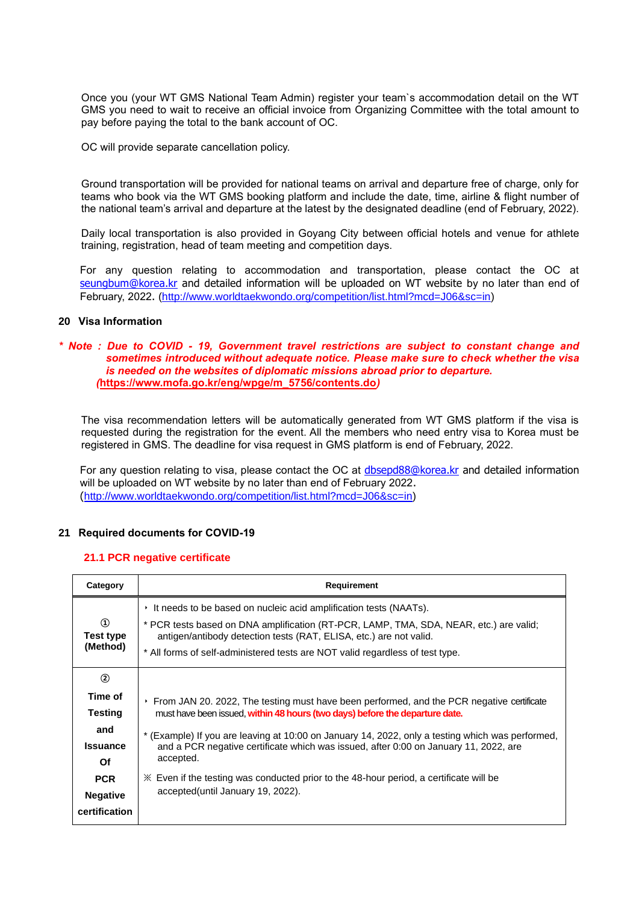Once you (your WT GMS National Team Admin) register your team`s accommodation detail on the WT GMS you need to wait to receive an official invoice from [Organizing](mailto:accomodation@romagrandprix.it) Committee with the total amount to pay before paying the total to the bank account of OC.

OC will provide separate cancellation policy.

Ground transportation will be provided for national teams on arrival and departure free of charge, only for teams who book via the WT GMS booking platform and include the date, time, airline & flight number of the national team's arrival and departure at the latest by the designated deadline (end of February, 2022).

Daily local transportation is also provided in Goyang City between official hotels and venue for athlete training, registration, head of team meeting and competition days.

For any question relating to accommodation and transportation, please contact the OC at [seungbum@korea.kr](mailto:seungbum@korea.kr) and detailed information will be uploaded on WT website by no later than end of February, 2022. [\(http://www.worldtaekwondo.org/competition/list.html?mcd=J06&sc=in\)](http://www.worldtaekwondo.org/competition/list.html?mcd=J06&sc=in)

#### **20 Visa Information**

#### *\* Note : Due to COVID - 19, Government travel restrictions are subject to constant change and sometimes introduced without adequate notice. Please make sure to check whether the visa is needed on the websites of diplomatic missions abroad prior to departure. (***[https://www.mofa.go.kr/eng/wpge/m\\_5756/contents.do](https://www.mofa.go.kr/eng/wpge/m_5756/contents.do)***)*

The visa recommendation letters will be automatically generated from WT GMS platform if the visa is requested during the registration for the event. All the members who need entry visa to Korea must be registered in GMS. The deadline for visa request in GMS platform is end of February, 2022.

For any question relating to visa, please contact the OC at [dbsepd88@korea.kr](mailto:dbsepd88@korea.kr) and detailed information will be uploaded on WT website by no later than end of February 2022. ([http://www.worldtaekwondo.org/competition/list.html?mcd=J06&sc=in\)](http://www.worldtaekwondo.org/competition/list.html?mcd=J06&sc=in)

#### **21 Required documents for COVID-19**

#### **21.1 PCR negative certificate**

| Category                                                                                                         | Requirement                                                                                                                                                                                                                                                                                                                                                                                                                                                                                                                        |
|------------------------------------------------------------------------------------------------------------------|------------------------------------------------------------------------------------------------------------------------------------------------------------------------------------------------------------------------------------------------------------------------------------------------------------------------------------------------------------------------------------------------------------------------------------------------------------------------------------------------------------------------------------|
| $\Omega$<br>Test type<br>(Method)                                                                                | It needs to be based on nucleic acid amplification tests (NAATs).<br>* PCR tests based on DNA amplification (RT-PCR, LAMP, TMA, SDA, NEAR, etc.) are valid;<br>antigen/antibody detection tests (RAT, ELISA, etc.) are not valid.<br>* All forms of self-administered tests are NOT valid regardless of test type.                                                                                                                                                                                                                 |
| ②<br>Time of<br><b>Testing</b><br>and<br><b>Issuance</b><br>Of<br><b>PCR</b><br><b>Negative</b><br>certification | From JAN 20. 2022, The testing must have been performed, and the PCR negative certificate<br>×.<br>must have been issued, within 48 hours (two days) before the departure date.<br>* (Example) If you are leaving at 10:00 on January 14, 2022, only a testing which was performed,<br>and a PCR negative certificate which was issued, after 0:00 on January 11, 2022, are<br>accepted.<br>$\mathbb X$ Even if the testing was conducted prior to the 48-hour period, a certificate will be<br>accepted (until January 19, 2022). |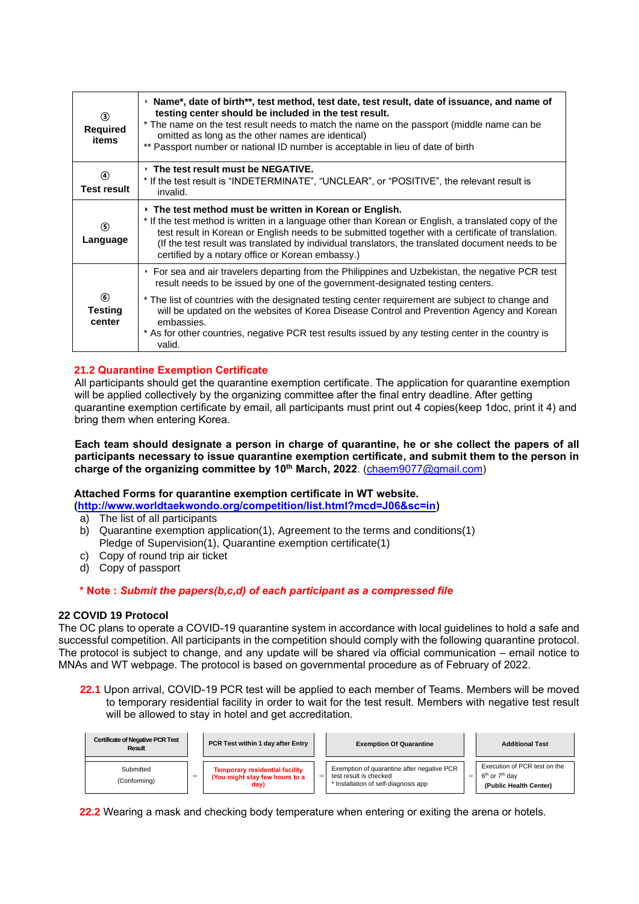| ك<br><b>Required</b><br>items             | $\rightarrow$ Name*, date of birth**, test method, test date, test result, date of issuance, and name of<br>testing center should be included in the test result.<br>* The name on the test result needs to match the name on the passport (middle name can be<br>omitted as long as the other names are identical)<br>** Passport number or national ID number is acceptable in lieu of date of birth                                     |
|-------------------------------------------|--------------------------------------------------------------------------------------------------------------------------------------------------------------------------------------------------------------------------------------------------------------------------------------------------------------------------------------------------------------------------------------------------------------------------------------------|
| 4<br><b>Test result</b>                   | $\cdot$ The test result must be NEGATIVE.<br>* If the test result is "INDETERMINATE", "UNCLEAR", or "POSITIVE", the relevant result is<br>invalid.                                                                                                                                                                                                                                                                                         |
| $\circ$<br>Language                       | $\rightarrow$ The test method must be written in Korean or English.<br>* If the test method is written in a language other than Korean or English, a translated copy of the<br>test result in Korean or English needs to be submitted together with a certificate of translation.<br>(If the test result was translated by individual translators, the translated document needs to be<br>certified by a notary office or Korean embassy.) |
|                                           | ▸ For sea and air travelers departing from the Philippines and Uzbekistan, the negative PCR test<br>result needs to be issued by one of the government-designated testing centers.                                                                                                                                                                                                                                                         |
| $\circled{6}$<br><b>Testing</b><br>center | * The list of countries with the designated testing center requirement are subject to change and<br>will be updated on the websites of Korea Disease Control and Prevention Agency and Korean<br>embassies.<br>* As for other countries, negative PCR test results issued by any testing center in the country is<br>valid.                                                                                                                |

## **21.2 Quarantine Exemption Certificate**

All participants should get the quarantine exemption certificate. The application for quarantine exemption will be applied collectively by the organizing committee after the final entry deadline. After getting quarantine exemption certificate by email, all participants must print out 4 copies(keep 1doc, print it 4) and bring them when entering Korea.

 **Each team should designate a person in charge of quarantine, he or she collect the papers of all participants necessary to issue quarantine exemption certificate, and submit them to the person in charge of the organizing committee by 10th March, 2022**. [\(chaem9077@gmail.com\)](mailto:chaem9077@gmail.com)

## **Attached Forms for quarantine exemption certificate in WT website.**

**[\(http://www.worldtaekwondo.org/competition/list.html?mcd=J06&sc=in\)](http://www.worldtaekwondo.org/competition/list.html?mcd=J06&sc=in)** 

- a) The list of all participants
- b) Quarantine exemption application(1), Agreement to the terms and conditions(1) Pledge of Supervision(1), Quarantine exemption certificate(1)
- c) Copy of round trip air ticket
- d) Copy of passport

## **\* Note :** *Submit the papers(b,c,d) of each participant as a compressed file*

## **22 COVID 19 Protocol**

The OC plans to operate a COVID-19 quarantine system in accordance with local guidelines to hold a safe and successful competition. All participants in the competition should comply with the following quarantine protocol. The protocol is subject to change, and any update will be shared via official communication – email notice to MNAs and WT webpage. The protocol is based on governmental procedure as of February of 2022.

**22.1** Upon arrival, COVID-19 PCR test will be applied to each member of Teams. Members will be moved to temporary residential facility in order to wait for the test result. Members with negative test result will be allowed to stay in hotel and get accreditation.

| <b>Certificate of Negative PCR Test</b><br>Result |   | PCR Test within 1 day after Entry                                               |               | <b>Exemption Of Quarantine</b>                                                                               |               | <b>Additional Test</b>                                                                           |
|---------------------------------------------------|---|---------------------------------------------------------------------------------|---------------|--------------------------------------------------------------------------------------------------------------|---------------|--------------------------------------------------------------------------------------------------|
| Submitted<br>(Conforming)                         | ⇨ | <b>Temporary residential facility</b><br>(You might stay few hours to a<br>day) | $\Rightarrow$ | Exemption of quarantine after negative PCR<br>test result is checked<br>* Installation of self-diagnosis app | $\Rightarrow$ | Execution of PCR test on the<br>6 <sup>th</sup> or 7 <sup>th</sup> dav<br>(Public Health Center) |

**22.2** Wearing a mask and checking body temperature when entering or exiting the arena or hotels.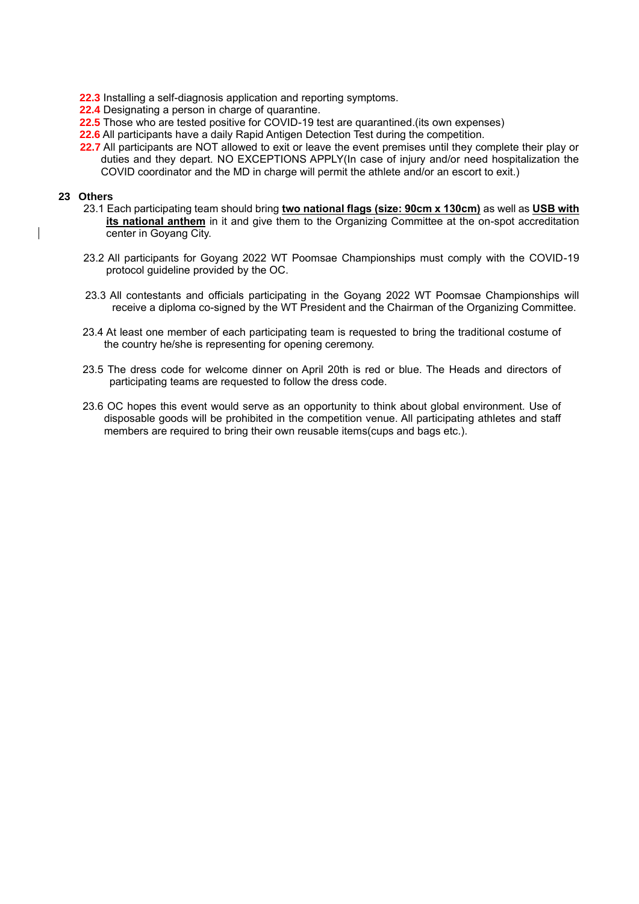**22.3** Installing a self-diagnosis application and reporting symptoms.

**22.4** Designating a person in charge of quarantine.

- **22.5** Those who are tested positive for COVID-19 test are quarantined.(its own expenses)
- **22.6** All participants have a daily Rapid Antigen Detection Test during the competition.
- **22.7** All participants are NOT allowed to exit or leave the event premises until they complete their play or duties and they depart. NO EXCEPTIONS APPLY(In case of injury and/or need hospitalization the COVID coordinator and the MD in charge will permit the athlete and/or an escort to exit.)

#### **23 Others**

- 23.1 Each participating team should bring **two national flags (size: 90cm x 130cm)** as well as **USB with its national anthem** in it and give them to the Organizing Committee at the on-spot accreditation center in Goyang City.
- 23.2 All participants for Goyang 2022 WT Poomsae Championships must comply with the COVID-19 protocol guideline provided by the OC.
- 23.3 All contestants and officials participating in the Goyang 2022 WT Poomsae Championships will receive a diploma co-signed by the WT President and the Chairman of the Organizing Committee.
- 23.4 At least one member of each participating team is requested to bring the traditional costume of the country he/she is representing for opening ceremony.
- 23.5 The dress code for welcome dinner on April 20th is red or blue. The Heads and directors of participating teams are requested to follow the dress code.
- 23.6 OC hopes this event would serve as an opportunity to think about global environment. Use of disposable goods will be prohibited in the competition venue. All participating athletes and staff members are required to bring their own reusable items(cups and bags etc.).